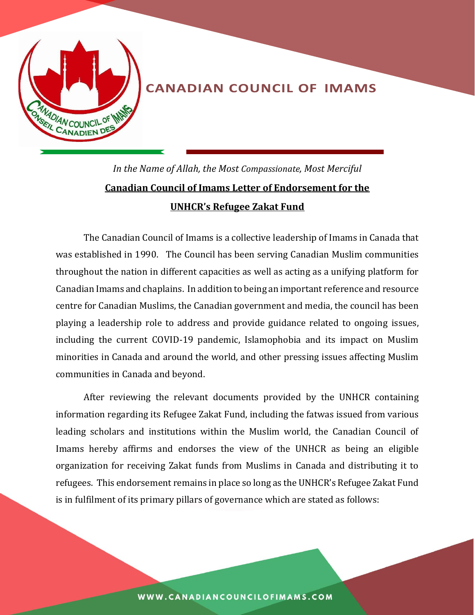

## **CANADIAN COUNCIL OF IMAMS**

*In the Name of Allah, the Most Compassionate, Most Merciful* **Canadian Council of Imams Letter of Endorsement for the UNHCR's Refugee Zakat Fund**

The Canadian Council of Imams is a collective leadership of Imams in Canada that was established in 1990. The Council has been serving Canadian Muslim communities throughout the nation in different capacities as well as acting as a unifying platform for Canadian Imams and chaplains. In addition to being an important reference and resource centre for Canadian Muslims, the Canadian government and media, the council has been playing a leadership role to address and provide guidance related to ongoing issues, including the current COVID-19 pandemic, Islamophobia and its impact on Muslim minorities in Canada and around the world, and other pressing issues affecting Muslim communities in Canada and beyond.

After reviewing the relevant documents provided by the UNHCR containing information regarding its Refugee Zakat Fund, including the fatwas issued from various leading scholars and institutions within the Muslim world, the Canadian Council of Imams hereby affirms and endorses the view of the UNHCR as being an eligible organization for receiving Zakat funds from Muslims in Canada and distributing it to refugees. This endorsement remains in place so long as the UNHCR's Refugee Zakat Fund is in fulfilment of its primary pillars of governance which are stated as follows: